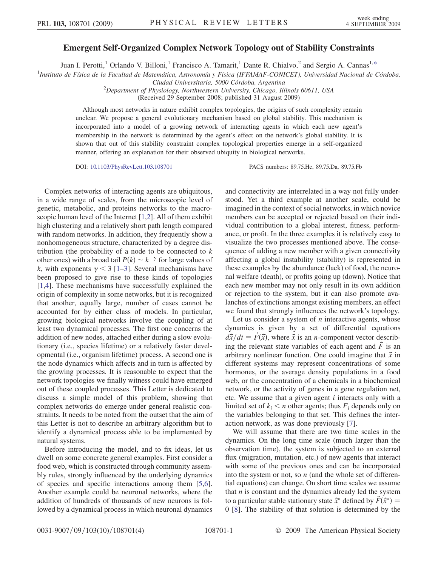## Emergent Self-Organized Complex Network Topology out of Stability Constraints

Juan I. Perotti,<sup>1</sup> Orlando V. Billoni,<sup>1</sup> Francisco A. Tamarit,<sup>1</sup> Dante R. Chialvo,<sup>2</sup> and Sergio A. Cannas<sup>1[,\\*](#page-3-0)</sup>

<span id="page-0-0"></span><sup>1</sup>Instituto de Física de la Facultad de Matemática, Astronomía y Física (IFFAMAF-CONICET), Universidad Nacional de Córdoba,

Ciudad Universitaria, 5000 Córdoba, Argentina

<sup>2</sup>Department of Physiology, Northwestern University, Chicago, Illinois 60611, USA

(Received 29 September 2008; published 31 August 2009)

Although most networks in nature exhibit complex topologies, the origins of such complexity remain unclear. We propose a general evolutionary mechanism based on global stability. This mechanism is incorporated into a model of a growing network of interacting agents in which each new agent's membership in the network is determined by the agent's effect on the network's global stability. It is shown that out of this stability constraint complex topological properties emerge in a self-organized manner, offering an explanation for their observed ubiquity in biological networks.

DOI: [10.1103/PhysRevLett.103.108701](http://dx.doi.org/10.1103/PhysRevLett.103.108701) PACS numbers: 89.75.Hc, 89.75.Da, 89.75.Fb

Complex networks of interacting agents are ubiquitous, in a wide range of scales, from the microscopic level of genetic, metabolic, and proteins networks to the macroscopic human level of the Internet [\[1,](#page-3-1)[2\]](#page-3-2). All of them exhibit high clustering and a relatively short path length compared with random networks. In addition, they frequently show a nonhomogeneous structure, characterized by a degree distribution (the probability of a node to be connected to  $k$ other ones) with a broad tail  $P(k) \sim k^{-\gamma}$  for large values of k, with exponents  $\gamma$  < 3 [[1](#page-3-1)[–3](#page-3-3)]. Several mechanisms have been proposed to give rise to these kinds of topologies [\[1,](#page-3-1)[4](#page-3-4)]. These mechanisms have successfully explained the origin of complexity in some networks, but it is recognized that another, equally large, number of cases cannot be accounted for by either class of models. In particular, growing biological networks involve the coupling of at least two dynamical processes. The first one concerns the addition of new nodes, attached either during a slow evolutionary (i.e., species lifetime) or a relatively faster developmental (i.e., organism lifetime) process. A second one is the node dynamics which affects and in turn is affected by the growing processes. It is reasonable to expect that the network topologies we finally witness could have emerged out of these coupled processes. This Letter is dedicated to discuss a simple model of this problem, showing that complex networks do emerge under general realistic constraints. It needs to be noted from the outset that the aim of this Letter is not to describe an arbitrary algorithm but to identify a dynamical process able to be implemented by natural systems.

Before introducing the model, and to fix ideas, let us dwell on some concrete general examples. First consider a food web, which is constructed through community assembly rules, strongly influenced by the underlying dynamics of species and specific interactions among them [[5](#page-3-5),[6\]](#page-3-6). Another example could be neuronal networks, where the addition of hundreds of thousands of new neurons is followed by a dynamical process in which neuronal dynamics and connectivity are interrelated in a way not fully understood. Yet a third example at another scale, could be imagined in the context of social networks, in which novice members can be accepted or rejected based on their individual contribution to a global interest, fitness, performance, or profit. In the three examples it is relatively easy to visualize the two processes mentioned above. The consequence of adding a new member with a given connectivity affecting a global instability (stability) is represented in these examples by the abundance (lack) of food, the neuronal welfare (death), or profits going up (down). Notice that each new member may not only result in its own addition or rejection to the system, but it can also promote avalanches of extinctions amongst existing members, an effect we found that strongly influences the network's topology.

Let us consider a system of  $n$  interactive agents, whose dynamics is given by a set of differential equations  $d\vec{x}/dt = \vec{F}(\vec{x})$ , where  $\vec{x}$  is an *n*-component vector describing the relevant state variables of each agent and  $\vec{F}$  is an arbitrary nonlinear function. One could imagine that  $\vec{x}$  in different systems may represent concentrations of some hormones, or the average density populations in a food web, or the concentration of a chemicals in a biochemical network, or the activity of genes in a gene regulation net, etc. We assume that a given agent  $i$  interacts only with a limited set of  $k_i < n$  other agents; thus  $F_i$  depends only on the variables belonging to that set. This defines the interaction network, as was done previously [[7\]](#page-3-7).

We will assume that there are two time scales in the dynamics. On the long time scale (much larger than the observation time), the system is subjected to an external flux (migration, mutation, etc.) of new agents that interact with some of the previous ones and can be incorporated into the system or not, so  $n$  (and the whole set of differential equations) can change. On short time scales we assume that  $n$  is constant and the dynamics already led the system to a particular stable stationary state  $\vec{x}^*$  defined by  $\vec{F}(\vec{x}^*) =$ 0 [[8\]](#page-3-8). The stability of that solution is determined by the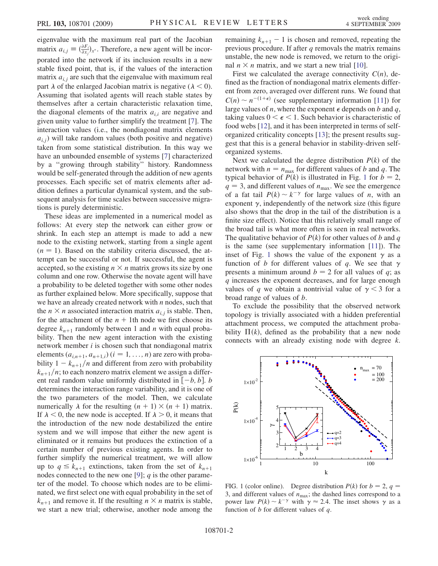eigenvalue with the maximum real part of the Jacobian matrix  $a_{i,j} \equiv \left(\frac{\partial F_i}{\partial x_j}\right)_{x^*}$ . Therefore, a new agent will be incorporated into the network if its inclusion results in a new stable fixed point, that is, if the values of the interaction matrix  $a_{i,j}$  are such that the eigenvalue with maximum real part  $\lambda$  of the enlarged Jacobian matrix is negative ( $\lambda < 0$ ). Assuming that isolated agents will reach stable states by themselves after a certain characteristic relaxation time, the diagonal elements of the matrix  $a_{i,i}$  are negative and given unity value to further simplify the treatment [[7](#page-3-7)]. The interaction values (i.e., the nondiagonal matrix elements  $a_{i,j}$ ) will take random values (both positive and negative) taken from some statistical distribution. In this way we have an unbounded ensemble of systems [\[7\]](#page-3-7) characterized by a ''growing through stability'' history. Randomness would be self-generated through the addition of new agents processes. Each specific set of matrix elements after addition defines a particular dynamical system, and the subsequent analysis for time scales between successive migrations is purely deterministic.

These ideas are implemented in a numerical model as follows: At every step the network can either grow or shrink. In each step an attempt is made to add a new node to the existing network, starting from a single agent  $(n = 1)$ . Based on the stability criteria discussed, the attempt can be successful or not. If successful, the agent is accepted, so the existing  $n \times n$  matrix grows its size by one column and one row. Otherwise the novate agent will have a probability to be deleted together with some other nodes as further explained below. More specifically, suppose that we have an already created network with  $n$  nodes, such that the  $n \times n$  associated interaction matrix  $a_{i,j}$  is stable. Then, for the attachment of the  $n + 1$ th node we first choose its degree  $k_{n+1}$  randomly between 1 and *n* with equal probability. Then the new agent interaction with the existing network member  $i$  is chosen such that nondiagonal matrix elements  $(a_{i,n+1}, a_{n+1,i})$   $(i = 1, \ldots, n)$  are zero with probability  $1 - k_{n+1}/n$  and different from zero with probability  $k_{n+1}/n$ ; to each nonzero matrix element we assign a different real random value uniformly distributed in  $[-b, b]$ . b determines the interaction range variability, and it is one of the two parameters of the model. Then, we calculate numerically  $\lambda$  for the resulting  $(n + 1) \times (n + 1)$  matrix. If  $\lambda$  < 0, the new node is accepted. If  $\lambda$  > 0, it means that the introduction of the new node destabilized the entire system and we will impose that either the new agent is eliminated or it remains but produces the extinction of a certain number of previous existing agents. In order to further simplify the numerical treatment, we will allow up to  $q \leq k_{n+1}$  extinctions, taken from the set of  $k_{n+1}$ nodes connected to the new one [\[9](#page-3-9)];  $q$  is the other parameter of the model. To choose which nodes are to be eliminated, we first select one with equal probability in the set of  $k_{n+1}$  and remove it. If the resulting  $n \times n$  matrix is stable, we start a new trial; otherwise, another node among the

remaining  $k_{n+1} - 1$  is chosen and removed, repeating the previous procedure. If after  $q$  removals the matrix remains unstable, the new node is removed, we return to the original  $n \times n$  matrix, and we start a new trial [[10](#page-3-10)].

First we calculated the average connectivity  $C(n)$ , defined as the fraction of nondiagonal matrix elements different from zero, averaged over different runs. We found that  $C(n) \sim n^{-(1+\epsilon)}$  (see supplementary information [[11\]](#page-3-11)) for large values of *n*, where the exponent  $\epsilon$  depends on *b* and *q*, taking values  $0 < \epsilon < 1$ . Such behavior is characteristic of food webs [[12](#page-3-12)], and it has been interpreted in terms of selforganized criticality concepts [\[13\]](#page-3-13); the present results suggest that this is a general behavior in stability-driven selforganized systems.

Next we calculated the degree distribution  $P(k)$  of the network with  $n = n_{\text{max}}$  for different values of b and q. The typical behavior of  $P(k)$  is illustrated in Fig. [1](#page-1-0) for  $b = 2$ ,  $q = 3$ , and different values of  $n_{\text{max}}$ . We see the emergence of a fat tail  $P(k) \sim k^{-\gamma}$  for large values of *n*, with an exponent  $\gamma$ , independently of the network size (this figure also shows that the drop in the tail of the distribution is a finite size effect). Notice that this relatively small range of the broad tail is what more often is seen in real networks. The qualitative behavior of  $P(k)$  for other values of b and q is the same (see supplementary information [[11](#page-3-11)]). The inset of Fig. [1](#page-1-0) shows the value of the exponent  $\gamma$  as a function of b for different values of q. We see that  $\gamma$ presents a minimum around  $b = 2$  for all values of q; as q increases the exponent decreases, and for large enough values of q we obtain a nontrivial value of  $\gamma$  < 3 for a broad range of values of b.

To exclude the possibility that the observed network topology is trivially associated with a hidden preferential attachment process, we computed the attachment probability  $\Pi(k)$ , defined as the probability that a new node connects with an already existing node with degree k.

<span id="page-1-0"></span>

FIG. 1 (color online). Degree distribution  $P(k)$  for  $b = 2$ ,  $q =$ 3, and different values of  $n_{\text{max}}$ ; the dashed lines correspond to a power law  $P(k) \sim k^{-\gamma}$  with  $\gamma \approx 2.4$ . The inset shows  $\gamma$  as a function of  $b$  for different values of  $q$ .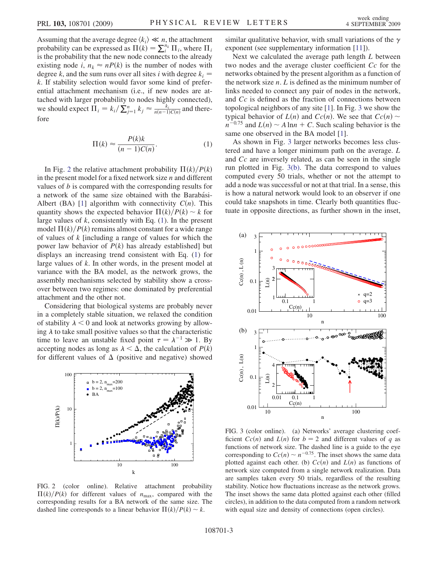Assuming that the average degree  $\langle k_i \rangle \ll n$ , the attachment probability can be expressed as  $\Pi(k) = \sum_{i}^{n_k} \Pi_i$ , where  $\Pi_i$ is the probability that the new node connects to the already existing node i,  $n_k \approx nP(k)$  is the number of nodes with degree k, and the sum runs over all sites i with degree  $k_i$  = k. If stability selection would favor some kind of preferential attachment mechanism (i.e., if new nodes are attached with larger probability to nodes highly connected), we should expect  $\Pi_i = k_i / \sum_{j=1}^n k_j \approx \frac{k_i}{n(n-1)C(n)}$  and therefore

$$
\Pi(k) \approx \frac{P(k)k}{(n-1)C(n)}.\tag{1}
$$

<span id="page-2-1"></span>In Fig. [2](#page-2-0) the relative attachment probability  $\Pi(k)/P(k)$ in the present model for a fixed network size  $n$  and different values of b is compared with the corresponding results for a network of the same size obtained with the Barabási-Albert (BA) [[1\]](#page-3-1) algorithm with connectivity  $C(n)$ . This quantity shows the expected behavior  $\Pi(k)/P(k) \sim k$  for large values of  $k$ , consistently with Eq.  $(1)$ . In the present model  $\Pi(k)/P(k)$  remains almost constant for a wide range of values of k [including a range of values for which the power law behavior of  $P(k)$  has already established] but displays an increasing trend consistent with Eq. ([1\)](#page-2-1) for large values of k. In other words, in the present model at variance with the BA model, as the network grows, the assembly mechanisms selected by stability show a crossover between two regimes: one dominated by preferential attachment and the other not.

Considering that biological systems are probably never in a completely stable situation, we relaxed the condition of stability  $\lambda$  < 0 and look at networks growing by allowing  $\lambda$  to take small positive values so that the characteristic time to leave an unstable fixed point  $\tau = \lambda^{-1} \gg 1$ . By accepting nodes as long as  $\lambda < \Delta$ , the calculation of  $P(k)$ for different values of  $\Delta$  (positive and negative) showed

<span id="page-2-0"></span>

FIG. 2 (color online). Relative attachment probability  $\Pi(k)/P(k)$  for different values of  $n_{\text{max}}$ , compared with the corresponding results for a BA network of the same size. The dashed line corresponds to a linear behavior  $\Pi(k)/P(k) \sim k$ .

similar qualitative behavior, with small variations of the  $\gamma$ exponent (see supplementary information [\[11](#page-3-11)]).

Next we calculated the average path length L between two nodes and the average cluster coefficient Cc for the networks obtained by the present algorithm as a function of the network size  $n. L$  is defined as the minimum number of links needed to connect any pair of nodes in the network, and Cc is defined as the fraction of connections between topological neighbors of any site [\[1](#page-3-1)]. In Fig. [3](#page-2-2) we show the typical behavior of  $L(n)$  and  $Cc(n)$ . We see that  $Cc(n)$  $n^{-0.75}$  and  $L(n) \sim A \ln n + C$ . Such scaling behavior is the same one observed in the BA model [\[1\]](#page-3-1).

As shown in Fig. [3](#page-2-2) larger networks becomes less clustered and have a longer minimum path on the average. L and Cc are inversely related, as can be seen in the single run plotted in Fig. [3\(b\).](#page-2-3) The data correspond to values computed every 50 trials, whether or not the attempt to add a node was successful or not at that trial. In a sense, this is how a natural network would look to an observer if one could take snapshots in time. Clearly both quantities fluctuate in opposite directions, as further shown in the inset,

<span id="page-2-2"></span>

<span id="page-2-3"></span>FIG. 3 (color online). (a) Networks' average clustering coefficient  $Cc(n)$  and  $L(n)$  for  $b = 2$  and different values of q as functions of network size. The dashed line is a guide to the eye corresponding to  $Cc(n) \sim n^{-0.75}$ . The inset shows the same data plotted against each other. (b)  $Cc(n)$  and  $L(n)$  as functions of network size computed from a single network realization. Data are samples taken every 50 trials, regardless of the resulting stability. Notice how fluctuations increase as the network grows. The inset shows the same data plotted against each other (filled circles), in addition to the data computed from a random network with equal size and density of connections (open circles).